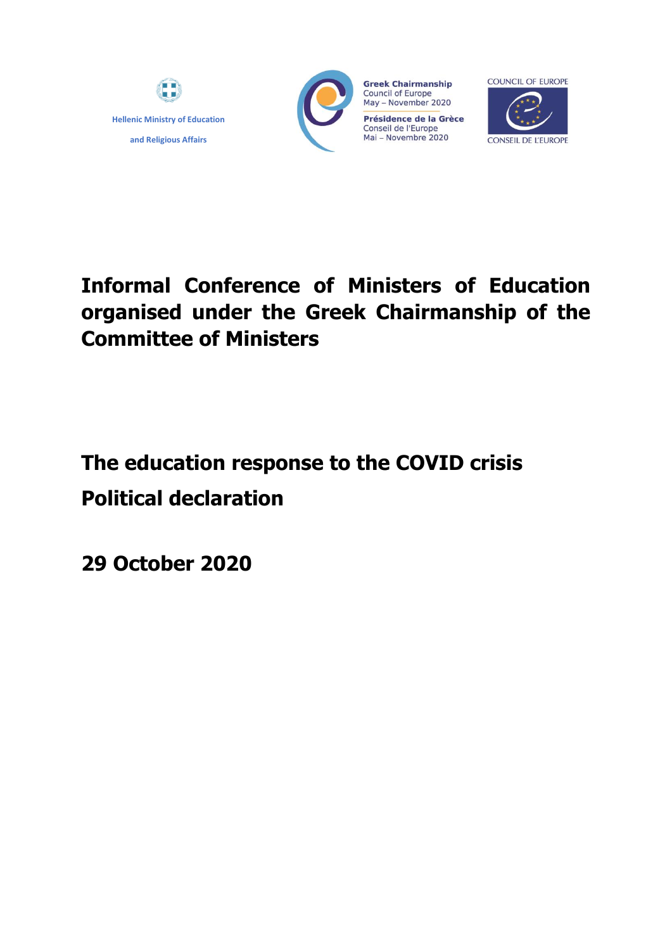



**Greek Chairmanship Council of Europe** May - November 2020 Présidence de la Grèce Conseil de l'Europe<br>Mai – Novembre 2020



# **Informal Conference of Ministers of Education organised under the Greek Chairmanship of the Committee of Ministers**

# **The education response to the COVID crisis Political declaration**

**29 October 2020**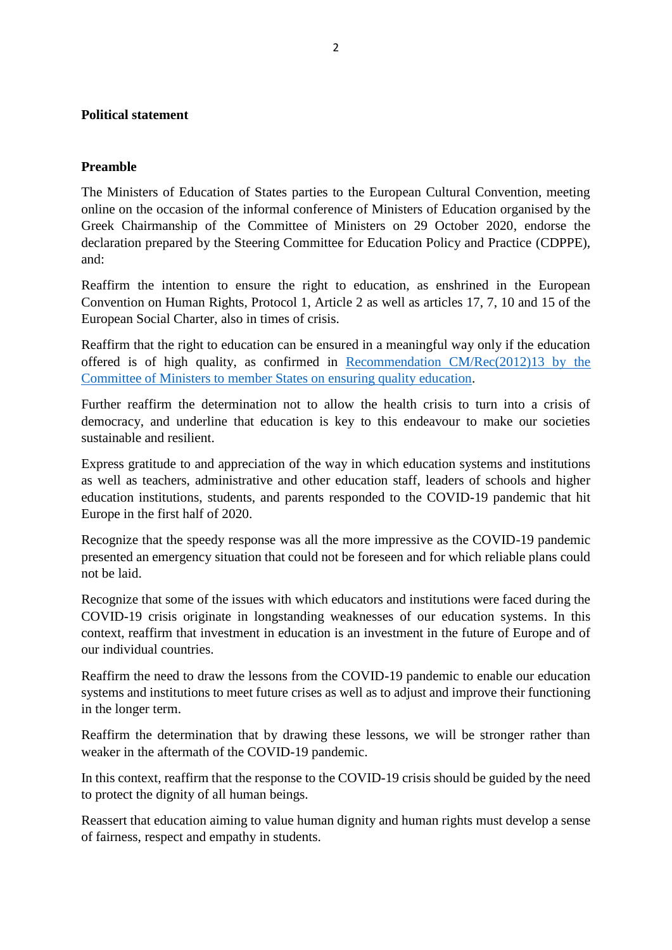## **Political statement**

### **Preamble**

The Ministers of Education of States parties to the European Cultural Convention, meeting online on the occasion of the informal conference of Ministers of Education organised by the Greek Chairmanship of the Committee of Ministers on 29 October 2020, endorse the declaration prepared by the Steering Committee for Education Policy and Practice (CDPPE), and:

Reaffirm the intention to ensure the right to education, as enshrined in the European Convention on Human Rights, Protocol 1, Article 2 as well as articles 17, 7, 10 and 15 of the European Social Charter, also in times of crisis.

Reaffirm that the right to education can be ensured in a meaningful way only if the education offered is of high quality, as confirmed in [Recommendation CM/Rec\(2012\)13 by](https://search.coe.int/cm/Pages/result_details.aspx?ObjectId=09000016805c94fb) the [Committee of Ministers to member States on ensuring quality education.](https://search.coe.int/cm/Pages/result_details.aspx?ObjectId=09000016805c94fb)

Further reaffirm the determination not to allow the health crisis to turn into a crisis of democracy, and underline that education is key to this endeavour to make our societies sustainable and resilient.

Express gratitude to and appreciation of the way in which education systems and institutions as well as teachers, administrative and other education staff, leaders of schools and higher education institutions, students, and parents responded to the COVID-19 pandemic that hit Europe in the first half of 2020.

Recognize that the speedy response was all the more impressive as the COVID-19 pandemic presented an emergency situation that could not be foreseen and for which reliable plans could not be laid.

Recognize that some of the issues with which educators and institutions were faced during the COVID-19 crisis originate in longstanding weaknesses of our education systems. In this context, reaffirm that investment in education is an investment in the future of Europe and of our individual countries.

Reaffirm the need to draw the lessons from the COVID-19 pandemic to enable our education systems and institutions to meet future crises as well as to adjust and improve their functioning in the longer term.

Reaffirm the determination that by drawing these lessons, we will be stronger rather than weaker in the aftermath of the COVID-19 pandemic.

In this context, reaffirm that the response to the COVID-19 crisis should be guided by the need to protect the dignity of all human beings.

Reassert that education aiming to value human dignity and human rights must develop a sense of fairness, respect and empathy in students.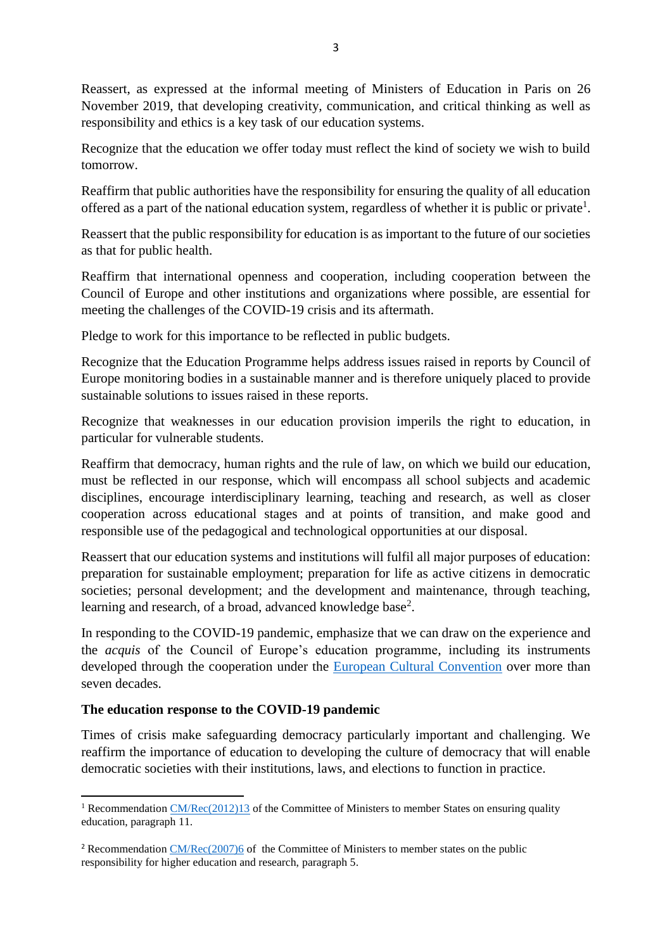Reassert, as expressed at the informal meeting of Ministers of Education in Paris on 26 November 2019, that developing creativity, communication, and critical thinking as well as responsibility and ethics is a key task of our education systems.

Recognize that the education we offer today must reflect the kind of society we wish to build tomorrow.

Reaffirm that public authorities have the responsibility for ensuring the quality of all education offered as a part of the national education system, regardless of whether it is public or private<sup>1</sup>.

Reassert that the public responsibility for education is as important to the future of our societies as that for public health.

Reaffirm that international openness and cooperation, including cooperation between the Council of Europe and other institutions and organizations where possible, are essential for meeting the challenges of the COVID-19 crisis and its aftermath.

Pledge to work for this importance to be reflected in public budgets.

Recognize that the Education Programme helps address issues raised in reports by Council of Europe monitoring bodies in a sustainable manner and is therefore uniquely placed to provide sustainable solutions to issues raised in these reports.

Recognize that weaknesses in our education provision imperils the right to education, in particular for vulnerable students.

Reaffirm that democracy, human rights and the rule of law, on which we build our education, must be reflected in our response, which will encompass all school subjects and academic disciplines, encourage interdisciplinary learning, teaching and research, as well as closer cooperation across educational stages and at points of transition, and make good and responsible use of the pedagogical and technological opportunities at our disposal.

Reassert that our education systems and institutions will fulfil all major purposes of education: preparation for sustainable employment; preparation for life as active citizens in democratic societies; personal development; and the development and maintenance, through teaching, learning and research, of a broad, advanced knowledge base<sup>2</sup>.

In responding to the COVID-19 pandemic, emphasize that we can draw on the experience and the *acquis* of the Council of Europe's education programme, including its instruments developed through the cooperation under the [European Cultural Convention](https://www.coe.int/en/web/conventions/full-list/-/conventions/treaty/018) over more than seven decades.

# **The education response to the COVID-19 pandemic**

1

Times of crisis make safeguarding democracy particularly important and challenging. We reaffirm the importance of education to developing the culture of democracy that will enable democratic societies with their institutions, laws, and elections to function in practice.

<sup>&</sup>lt;sup>1</sup> Recommendation [CM/Rec\(2012\)13](https://search.coe.int/cm/Pages/result_details.aspx?Reference=CM/Rec(2012)13) of the Committee of Ministers to member States on ensuring quality education, paragraph 11.

<sup>&</sup>lt;sup>2</sup> Recommendatio[n CM/Rec\(2007\)6](https://search.coe.int/cm/Pages/result_details.aspx?ObjectId=09000016805d5dae) of the Committee of Ministers to member states on the public responsibility for higher education and research, paragraph 5.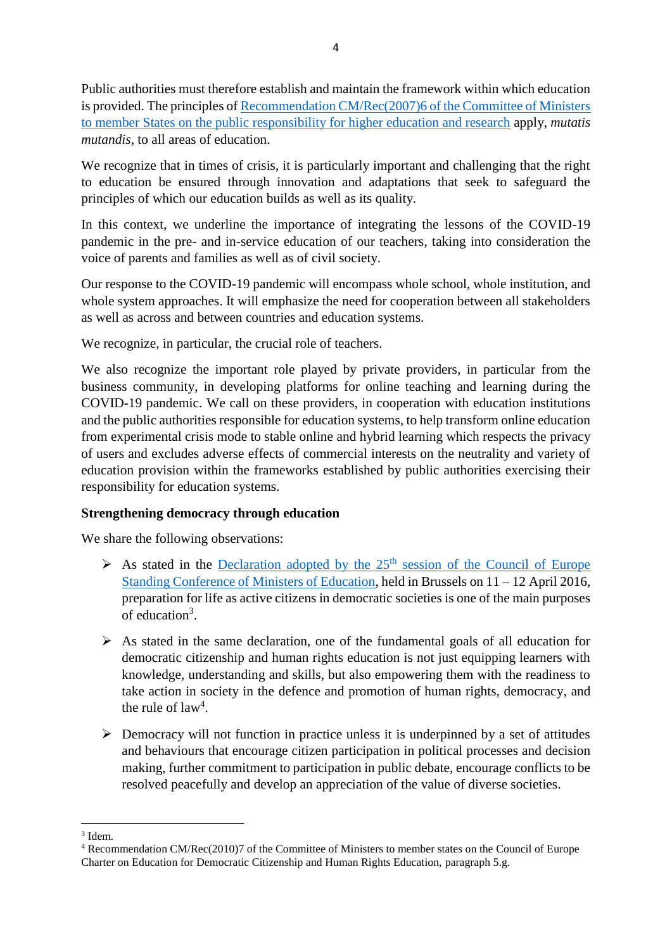Public authorities must therefore establish and maintain the framework within which education is provided. The principles of [Recommendation CM/Rec\(2007\)6 of the Committee of Ministers](https://search.coe.int/cm/Pages/result_details.aspx?ObjectId=09000016805d5dae)  [to member States on the public responsibility for higher education and research](https://search.coe.int/cm/Pages/result_details.aspx?ObjectId=09000016805d5dae) apply, *mutatis mutandis*, to all areas of education.

We recognize that in times of crisis, it is particularly important and challenging that the right to education be ensured through innovation and adaptations that seek to safeguard the principles of which our education builds as well as its quality.

In this context, we underline the importance of integrating the lessons of the COVID-19 pandemic in the pre- and in-service education of our teachers, taking into consideration the voice of parents and families as well as of civil society.

Our response to the COVID-19 pandemic will encompass whole school, whole institution, and whole system approaches. It will emphasize the need for cooperation between all stakeholders as well as across and between countries and education systems.

We recognize, in particular, the crucial role of teachers.

We also recognize the important role played by private providers, in particular from the business community, in developing platforms for online teaching and learning during the COVID-19 pandemic. We call on these providers, in cooperation with education institutions and the public authorities responsible for education systems, to help transform online education from experimental crisis mode to stable online and hybrid learning which respects the privacy of users and excludes adverse effects of commercial interests on the neutrality and variety of education provision within the frameworks established by public authorities exercising their responsibility for education systems.

# **Strengthening democracy through education**

We share the following observations:

- $\triangleright$  As stated in the Declaration adopted by the 25<sup>th</sup> session of the Council of Europe [Standing Conference of Ministers of Education,](https://www.coe.int/en/web/education-minister-conference) held in Brussels on 11 – 12 April 2016, preparation for life as active citizens in democratic societies is one of the main purposes of education<sup>3</sup>.
- $\triangleright$  As stated in the same declaration, one of the fundamental goals of all education for democratic citizenship and human rights education is not just equipping learners with knowledge, understanding and skills, but also empowering them with the readiness to take action in society in the defence and promotion of human rights, democracy, and the rule of  $law<sup>4</sup>$ .
- $\triangleright$  Democracy will not function in practice unless it is underpinned by a set of attitudes and behaviours that encourage citizen participation in political processes and decision making, further commitment to participation in public debate, encourage conflicts to be resolved peacefully and develop an appreciation of the value of diverse societies.

<sup>1</sup> 3 Idem.

<sup>4</sup> Recommendation CM/Rec(2010)7 of the Committee of Ministers to member states on the Council of Europe Charter on Education for Democratic Citizenship and Human Rights Education, paragraph 5.g.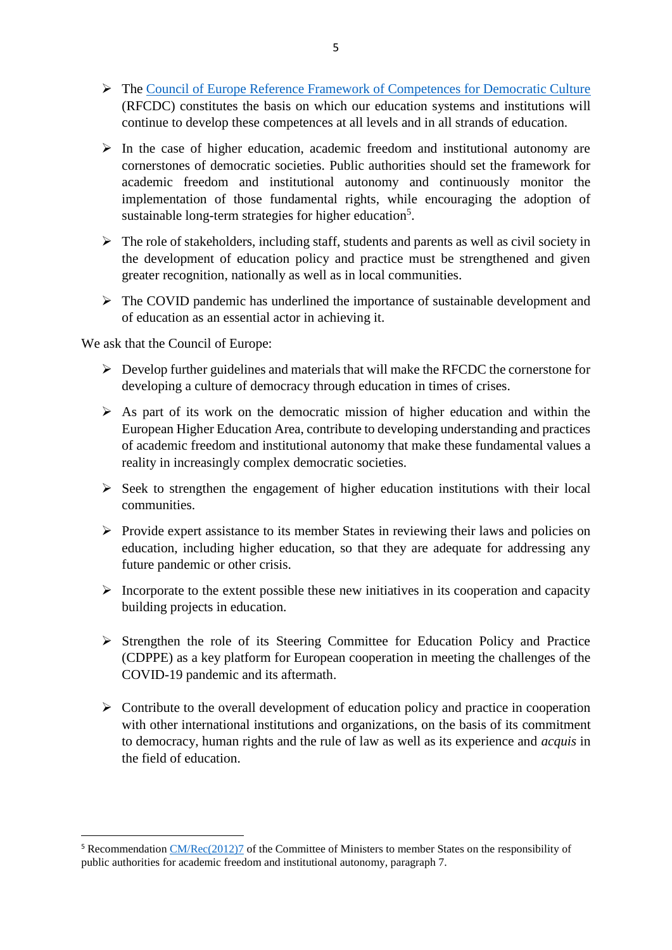- The [Council of Europe Reference Framework of Competences for Democratic Culture](https://www.coe.int/en/web/reference-framework-of-competences-for-democratic-culture/) (RFCDC) constitutes the basis on which our education systems and institutions will continue to develop these competences at all levels and in all strands of education.
- $\triangleright$  In the case of higher education, academic freedom and institutional autonomy are cornerstones of democratic societies. Public authorities should set the framework for academic freedom and institutional autonomy and continuously monitor the implementation of those fundamental rights, while encouraging the adoption of sustainable long-term strategies for higher education<sup>5</sup>.
- $\triangleright$  The role of stakeholders, including staff, students and parents as well as civil society in the development of education policy and practice must be strengthened and given greater recognition, nationally as well as in local communities.
- $\triangleright$  The COVID pandemic has underlined the importance of sustainable development and of education as an essential actor in achieving it.

We ask that the Council of Europe:

**.** 

- $\triangleright$  Develop further guidelines and materials that will make the RFCDC the cornerstone for developing a culture of democracy through education in times of crises.
- $\triangleright$  As part of its work on the democratic mission of higher education and within the European Higher Education Area, contribute to developing understanding and practices of academic freedom and institutional autonomy that make these fundamental values a reality in increasingly complex democratic societies.
- $\triangleright$  Seek to strengthen the engagement of higher education institutions with their local communities.
- $\triangleright$  Provide expert assistance to its member States in reviewing their laws and policies on education, including higher education, so that they are adequate for addressing any future pandemic or other crisis.
- $\triangleright$  Incorporate to the extent possible these new initiatives in its cooperation and capacity building projects in education.
- $\triangleright$  Strengthen the role of its Steering Committee for Education Policy and Practice (CDPPE) as a key platform for European cooperation in meeting the challenges of the COVID-19 pandemic and its aftermath.
- $\triangleright$  Contribute to the overall development of education policy and practice in cooperation with other international institutions and organizations, on the basis of its commitment to democracy, human rights and the rule of law as well as its experience and *acquis* in the field of education.

<sup>5</sup> Recommendatio[n CM/Rec\(2012\)7](https://search.coe.int/cm/Pages/result_details.aspx?Reference=CM/Rec(2012)7) of the Committee of Ministers to member States on the responsibility of public authorities for academic freedom and institutional autonomy, paragraph 7.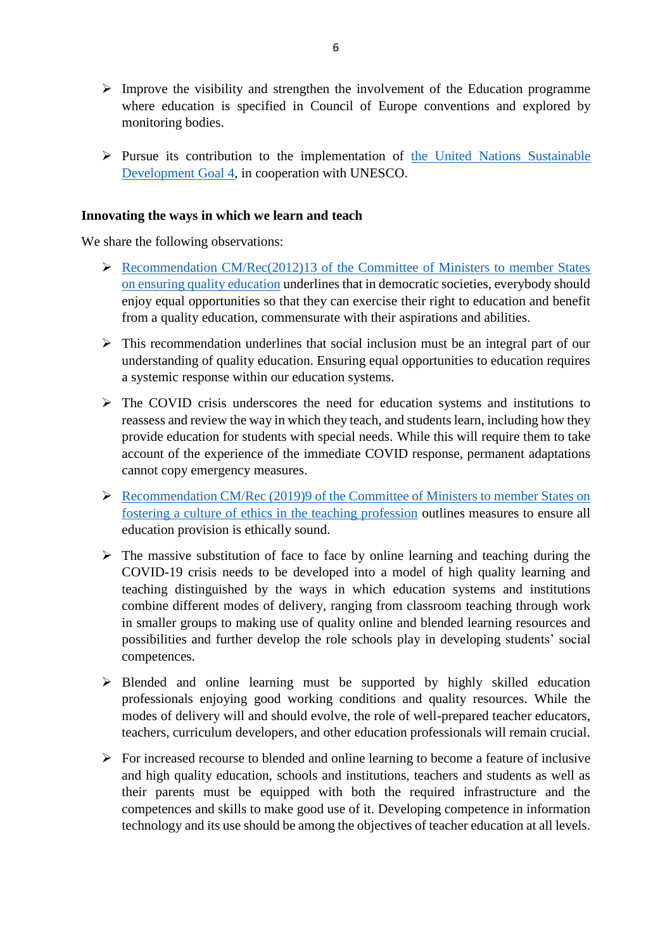- $\triangleright$  Improve the visibility and strengthen the involvement of the Education programme where education is specified in Council of Europe conventions and explored by monitoring bodies.
- $\triangleright$  Pursue its contribution to the implementation of the United Nations Sustainable [Development Goal 4,](https://en.unesco.org/gem-report/sdg-goal-4#:~:text=SDG%204%20is%20to%20ensure,and%20three%20means%20of%20implementation.) in cooperation with UNESCO.

### **Innovating the ways in which we learn and teach**

We share the following observations:

- $\triangleright$  [Recommendation CM/Rec\(2012\)13 of the Committee of Ministers to member States](https://search.coe.int/cm/Pages/result_details.aspx?Reference=CM/Rec(2012)13) [on ensuring quality education](https://search.coe.int/cm/Pages/result_details.aspx?Reference=CM/Rec(2012)13) underlines that in democratic societies, everybody should enjoy equal opportunities so that they can exercise their right to education and benefit from a quality education, commensurate with their aspirations and abilities.
- $\triangleright$  This recommendation underlines that social inclusion must be an integral part of our understanding of quality education. Ensuring equal opportunities to education requires a systemic response within our education systems.
- $\triangleright$  The COVID crisis underscores the need for education systems and institutions to reassess and review the way in which they teach, and students learn, including how they provide education for students with special needs. While this will require them to take account of the experience of the immediate COVID response, permanent adaptations cannot copy emergency measures.
- ▶ Recommendation CM/Rec (2019)9 of the Committee of Ministers to member States on [fostering a culture of ethics in the teaching profession](https://search.coe.int/cm/Pages/result_details.aspx?ObjectID=0900001680983b3e) outlines measures to ensure all education provision is ethically sound.
- $\triangleright$  The massive substitution of face to face by online learning and teaching during the COVID-19 crisis needs to be developed into a model of high quality learning and teaching distinguished by the ways in which education systems and institutions combine different modes of delivery, ranging from classroom teaching through work in smaller groups to making use of quality online and blended learning resources and possibilities and further develop the role schools play in developing students' social competences.
- $\triangleright$  Blended and online learning must be supported by highly skilled education professionals enjoying good working conditions and quality resources. While the modes of delivery will and should evolve, the role of well-prepared teacher educators, teachers, curriculum developers, and other education professionals will remain crucial.
- $\triangleright$  For increased recourse to blended and online learning to become a feature of inclusive and high quality education, schools and institutions, teachers and students as well as their parents must be equipped with both the required infrastructure and the competences and skills to make good use of it. Developing competence in information technology and its use should be among the objectives of teacher education at all levels.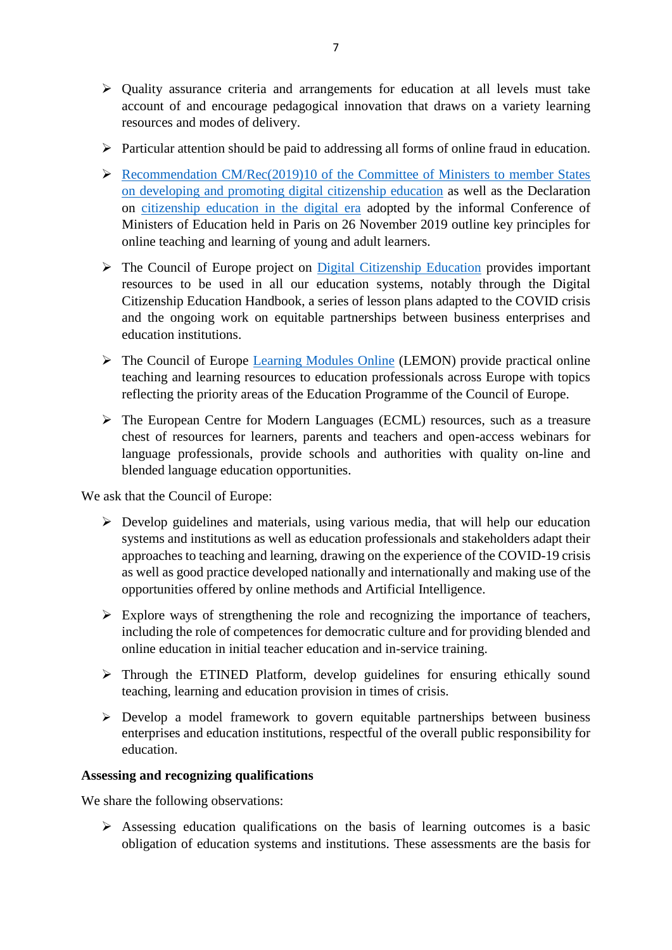- $\triangleright$  Quality assurance criteria and arrangements for education at all levels must take account of and encourage pedagogical innovation that draws on a variety learning resources and modes of delivery.
- $\triangleright$  Particular attention should be paid to addressing all forms of online fraud in education.
- $\triangleright$  Recommendation CM/Rec(2019)10 of the Committee of Ministers to member States [on developing and promoting digital citizenship education](https://search.coe.int/cm/Pages/result_details.aspx?ObjectId=090000168098de08) as well as the Declaration on [citizenship education in the digital era](https://rm.coe.int/coe-declaration-digital-citizenship-english-vf-sur-table-26-11-19/168098fb15) adopted by the informal Conference of Ministers of Education held in Paris on 26 November 2019 outline key principles for online teaching and learning of young and adult learners.
- $\triangleright$  The Council of Europe project on [Digital Citizenship Education](https://www.coe.int/en/web/digital-citizenship-education/home) provides important resources to be used in all our education systems, notably through the Digital Citizenship Education Handbook, a series of lesson plans adapted to the COVID crisis and the ongoing work on equitable partnerships between business enterprises and education institutions.
- The Council of Europe [Learning Modules Online](https://www.coe.int/en/web/learning-resources) (LEMON) provide practical online teaching and learning resources to education professionals across Europe with topics reflecting the priority areas of the Education Programme of the Council of Europe.
- The European Centre for Modern Languages (ECML) resources, such as a treasure chest of resources for learners, parents and teachers and open-access webinars for language professionals, provide schools and authorities with quality on-line and blended language education opportunities.

We ask that the Council of Europe:

- $\triangleright$  Develop guidelines and materials, using various media, that will help our education systems and institutions as well as education professionals and stakeholders adapt their approaches to teaching and learning, drawing on the experience of the COVID-19 crisis as well as good practice developed nationally and internationally and making use of the opportunities offered by online methods and Artificial Intelligence.
- $\triangleright$  Explore ways of strengthening the role and recognizing the importance of teachers, including the role of competences for democratic culture and for providing blended and online education in initial teacher education and in-service training.
- Through the ETINED Platform, develop guidelines for ensuring ethically sound teaching, learning and education provision in times of crisis.
- Develop a model framework to govern equitable partnerships between business enterprises and education institutions, respectful of the overall public responsibility for education.

## **Assessing and recognizing qualifications**

We share the following observations:

 $\triangleright$  Assessing education qualifications on the basis of learning outcomes is a basic obligation of education systems and institutions. These assessments are the basis for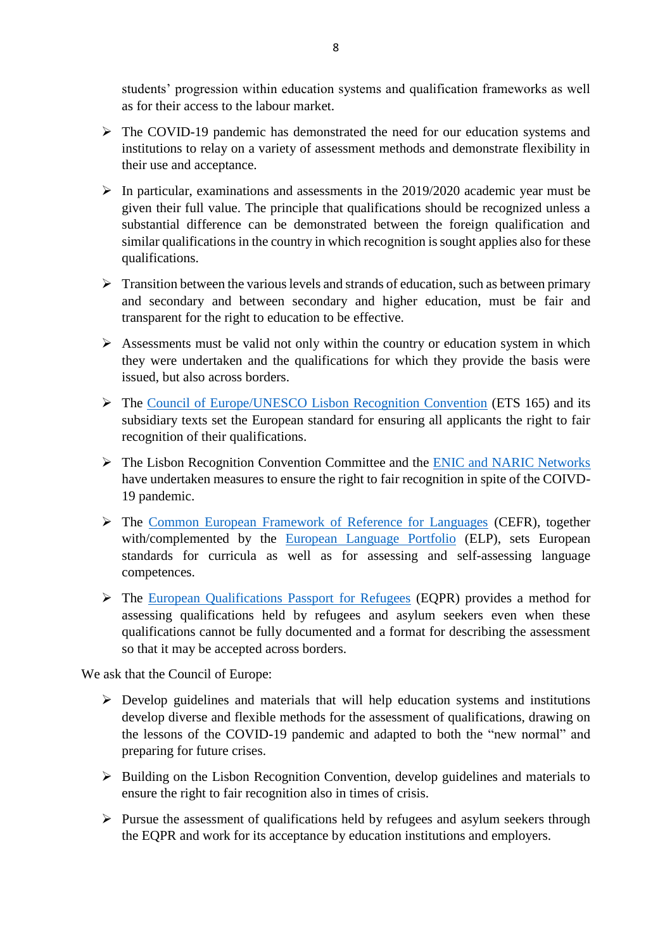students' progression within education systems and qualification frameworks as well as for their access to the labour market.

- The COVID-19 pandemic has demonstrated the need for our education systems and institutions to relay on a variety of assessment methods and demonstrate flexibility in their use and acceptance.
- $\triangleright$  In particular, examinations and assessments in the 2019/2020 academic year must be given their full value. The principle that qualifications should be recognized unless a substantial difference can be demonstrated between the foreign qualification and similar qualifications in the country in which recognition is sought applies also for these qualifications.
- $\triangleright$  Transition between the various levels and strands of education, such as between primary and secondary and between secondary and higher education, must be fair and transparent for the right to education to be effective.
- $\triangleright$  Assessments must be valid not only within the country or education system in which they were undertaken and the qualifications for which they provide the basis were issued, but also across borders.
- The [Council of Europe/UNESCO Lisbon Recognition Convention](https://www.coe.int/en/web/conventions/full-list/-/conventions/treaty/165) (ETS 165) and its subsidiary texts set the European standard for ensuring all applicants the right to fair recognition of their qualifications.
- The Lisbon Recognition Convention Committee and the [ENIC and NARIC Networks](https://www.enic-naric.net/) have undertaken measures to ensure the right to fair recognition in spite of the COIVD-19 pandemic.
- The [Common European Framework of Reference for Languages](https://www.coe.int/en/web/language-policy/cefr) (CEFR), together with/complemented by the [European Language Portfolio](https://www.coe.int/en/web/language-policy/european-language-portfolio) (ELP), sets European standards for curricula as well as for assessing and self-assessing language competences.
- The [European Qualifications Passport for Refugees](https://www.coe.int/en/web/education/recognition-of-refugees-qualifications) (EQPR) provides a method for assessing qualifications held by refugees and asylum seekers even when these qualifications cannot be fully documented and a format for describing the assessment so that it may be accepted across borders.

We ask that the Council of Europe:

- $\triangleright$  Develop guidelines and materials that will help education systems and institutions develop diverse and flexible methods for the assessment of qualifications, drawing on the lessons of the COVID-19 pandemic and adapted to both the "new normal" and preparing for future crises.
- $\triangleright$  Building on the Lisbon Recognition Convention, develop guidelines and materials to ensure the right to fair recognition also in times of crisis.
- $\triangleright$  Pursue the assessment of qualifications held by refugees and asylum seekers through the EQPR and work for its acceptance by education institutions and employers.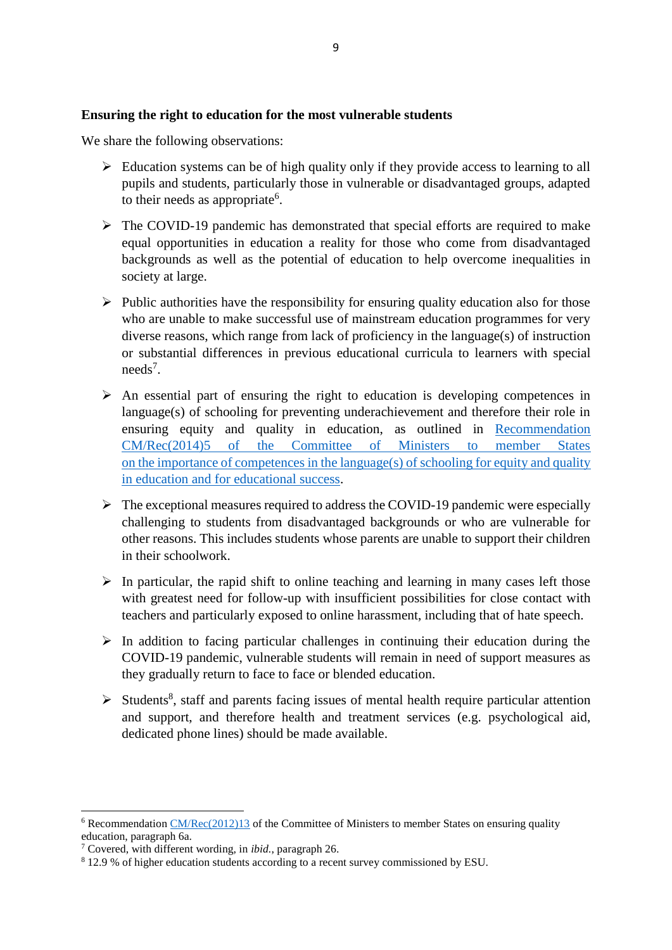# **Ensuring the right to education for the most vulnerable students**

We share the following observations:

- $\triangleright$  Education systems can be of high quality only if they provide access to learning to all pupils and students, particularly those in vulnerable or disadvantaged groups, adapted to their needs as appropriate<sup>6</sup>.
- $\triangleright$  The COVID-19 pandemic has demonstrated that special efforts are required to make equal opportunities in education a reality for those who come from disadvantaged backgrounds as well as the potential of education to help overcome inequalities in society at large.
- $\triangleright$  Public authorities have the responsibility for ensuring quality education also for those who are unable to make successful use of mainstream education programmes for very diverse reasons, which range from lack of proficiency in the language(s) of instruction or substantial differences in previous educational curricula to learners with special needs<sup>7</sup>.
- $\triangleright$  An essential part of ensuring the right to education is developing competences in language(s) of schooling for preventing underachievement and therefore their role in ensuring equity and quality in education, as outlined in [Recommendation](https://search.coe.int/cm/Pages/result_details.aspx?Reference=CM/Rec(2014)5)  [CM/Rec\(2014\)5 of the Committee of Ministers to member States](https://search.coe.int/cm/Pages/result_details.aspx?Reference=CM/Rec(2014)5) [on the importance of competences in the language\(s\) of schooling for equity and quality](https://search.coe.int/cm/Pages/result_details.aspx?Reference=CM/Rec(2014)5)  [in education and for educational success.](https://search.coe.int/cm/Pages/result_details.aspx?Reference=CM/Rec(2014)5)
- $\triangleright$  The exceptional measures required to address the COVID-19 pandemic were especially challenging to students from disadvantaged backgrounds or who are vulnerable for other reasons. This includes students whose parents are unable to support their children in their schoolwork.
- $\triangleright$  In particular, the rapid shift to online teaching and learning in many cases left those with greatest need for follow-up with insufficient possibilities for close contact with teachers and particularly exposed to online harassment, including that of hate speech.
- $\triangleright$  In addition to facing particular challenges in continuing their education during the COVID-19 pandemic, vulnerable students will remain in need of support measures as they gradually return to face to face or blended education.
- $\triangleright$  Students<sup>8</sup>, staff and parents facing issues of mental health require particular attention and support, and therefore health and treatment services (e.g. psychological aid, dedicated phone lines) should be made available.

**.** 

 $6$  Recommendation [CM/Rec\(2012\)13](https://search.coe.int/cm/Pages/result_details.aspx?Reference=CM/Rec(2012)13) of the Committee of Ministers to member States on ensuring quality education, paragraph 6a.

<sup>7</sup> Covered, with different wording, in *ibid.*, paragraph 26.

<sup>&</sup>lt;sup>8</sup> 12.9 % of higher education students according to a recent survey commissioned by ESU.